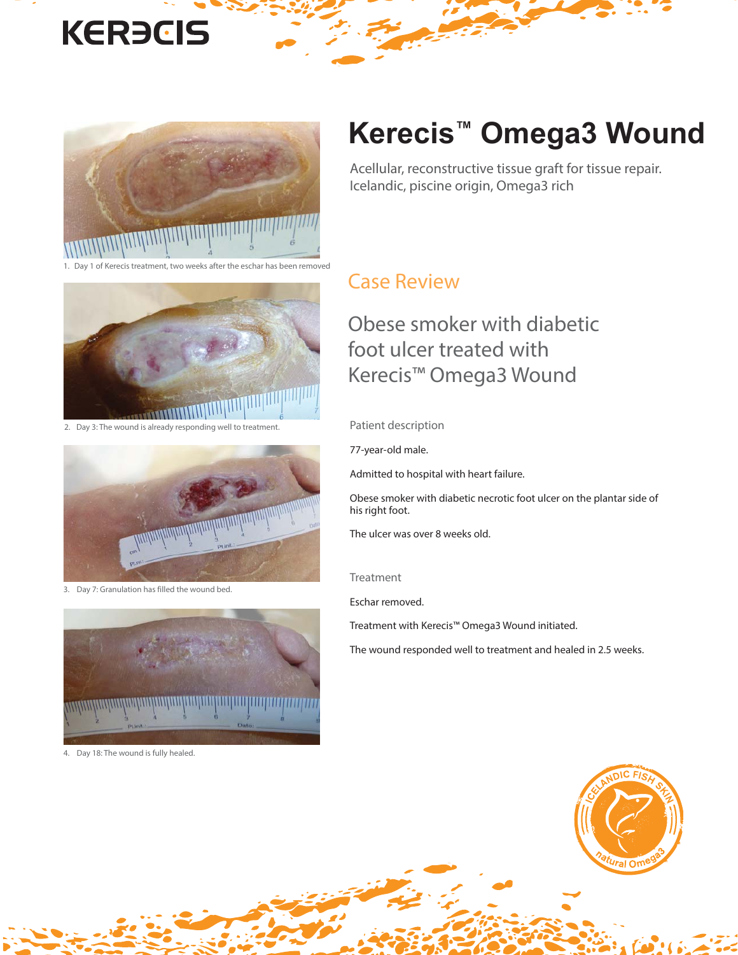# **KERECIS**



1 of Kerecis treatment, two weeks after the eschar has been removed



2. Day 3: The wound is already responding well to treatment.



3. Day 7: Granulation has filled the wound bed.



4. Day 18: The wound is fully healed.

## **Kerecis™ Omega3 Wound**

Acellular, reconstructive tissue graft for tissue repair. Icelandic, piscine origin, Omega3 rich

#### Case Review

### Obese smoker with diabetic foot ulcer treated with Kerecis™ Omega3 Wound

Patient description

77-year-old male.

Admitted to hospital with heart failure.

Obese smoker with diabetic necrotic foot ulcer on the plantar side of his right foot.

The ulcer was over 8 weeks old.

#### Treatment

Eschar removed.

Treatment with Kerecis™ Omega3 Wound initiated.

The wound responded well to treatment and healed in 2.5 weeks.